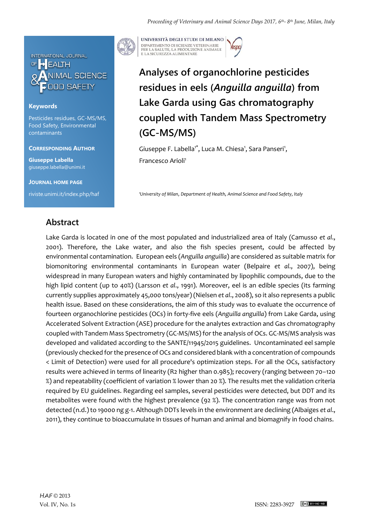

### **Keywords**

Pesticides residues, GC-MS/MS, Food Safety, Environmental contaminants

#### **CORRESPONDING AUTHOR**

**Giuseppe Labella** giuseppe.labella@unimi.it

**JOURNAL HOME PAGE**

riviste.unimi.it/index.php/haf



UNIVERSITÀ DEGLI STUDI DI MILANO DIPARTIMENTO DI SCIENZE VETERINARIE PER LA SALUTE, LA PRODUZIONE ANIMALE<br>E LA SICUREZZA ALIMENTARE

# **Analyses of organochlorine pesticides residues in eels (***Anguilla anguilla***) from Lake Garda using Gas chromatography coupled with Tandem Mass Spectrometry (GC-MS/MS)**

Giuseppe F. Labella<sup>1\*</sup>, Luca M. Chiesa<sup>1</sup>, Sara Panseri<sup>1</sup>, Francesco Arioli<sup>1</sup>

*<sup>1</sup>University of Milan*, *Department of Health, Animal Science and Food Safety, Italy* 

### **Abstract**

Lake Garda is located in one of the most populated and industrialized area of Italy (Camusso *et al*., 2001). Therefore, the Lake water, and also the fish species present, could be affected by environmental contamination. European eels (*Anguilla anguilla*) are considered as suitable matrix for biomonitoring environmental contaminants in European water (Belpaire *et al*., 2007), being widespread in many European waters and highly contaminated by lipophilic compounds, due to the high lipid content (up to 40%) (Larsson *et al*., 1991). Moreover, eel is an edible species (its farming currently supplies approximately 45,000 tons/year) (Nielsen *et al*., 2008), so it also represents a public health issue. Based on these considerations, the aim of this study was to evaluate the occurrence of fourteen organochlorine pesticides (OCs) in forty-five eels (*Anguilla anguilla*) from Lake Garda, using Accelerated Solvent Extraction (ASE) procedure for the analytes extraction and Gas chromatography coupled with Tandem Mass Spectrometry (GC-MS/MS) for the analysis of OCs. GC-MS/MS analysis was developed and validated according to the SANTE/11945/2015 guidelines. Uncontaminated eel sample (previously checked for the presence of OCs and considered blank with a concentration of compounds < Limit of Detection) were used for all procedure's optimization steps. For all the OCs, satisfactory results were achieved in terms of linearity (R2 higher than 0.985); recovery (ranging between 70–120 %) and repeatability (coefficient of variation % lower than 20 %). The results met the validation criteria required by EU guidelines. Regarding eel samples, several pesticides were detected, but DDT and its metabolites were found with the highest prevalence (92 %). The concentration range was from not detected (n.d.) to 19000 ng g-1. Although DDTs levels in the environment are declining (Albaiges *et al*., 2011), they continue to bioaccumulate in tissues of human and animal and biomagnify in food chains.